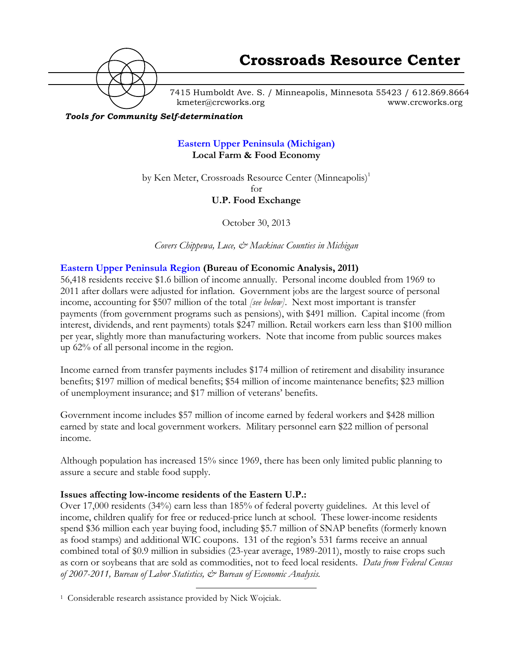

7415 Humboldt Ave. S. / Minneapolis, Minnesota 55423 / 612.869.8664 kmeter@crcworks.org www.crcworks.org

#### *Tools for Community Self-determination*

**Eastern Upper Peninsula (Michigan) Local Farm & Food Economy**

by Ken Meter, Crossroads Resource Center (Minneapolis)<sup>1</sup>

for

**U.P. Food Exchange**

October 30, 2013

*Covers Chippewa, Luce, & Mackinac Counties in Michigan*

### **Eastern Upper Peninsula Region (Bureau of Economic Analysis, 2011)**

56,418 residents receive \$1.6 billion of income annually. Personal income doubled from 1969 to 2011 after dollars were adjusted for inflation. Government jobs are the largest source of personal income, accounting for \$507 million of the total *[see below]*. Next most important is transfer payments (from government programs such as pensions), with \$491 million. Capital income (from interest, dividends, and rent payments) totals \$247 million. Retail workers earn less than \$100 million per year, slightly more than manufacturing workers. Note that income from public sources makes up 62% of all personal income in the region.

Income earned from transfer payments includes \$174 million of retirement and disability insurance benefits; \$197 million of medical benefits; \$54 million of income maintenance benefits; \$23 million of unemployment insurance; and \$17 million of veterans' benefits.

Government income includes \$57 million of income earned by federal workers and \$428 million earned by state and local government workers. Military personnel earn \$22 million of personal income.

Although population has increased 15% since 1969, there has been only limited public planning to assure a secure and stable food supply.

### **Issues affecting low-income residents of the Eastern U.P.:**

Over 17,000 residents (34%) earn less than 185% of federal poverty guidelines. At this level of income, children qualify for free or reduced-price lunch at school. These lower-income residents spend \$36 million each year buying food, including \$5.7 million of SNAP benefits (formerly known as food stamps) and additional WIC coupons. 131 of the region's 531 farms receive an annual combined total of \$0.9 million in subsidies (23-year average, 1989-2011), mostly to raise crops such as corn or soybeans that are sold as commodities, not to feed local residents. *Data from Federal Census of 2007-2011, Bureau of Labor Statistics, & Bureau of Economic Analysis.*

 <sup>1</sup> Considerable research assistance provided by Nick Wojciak.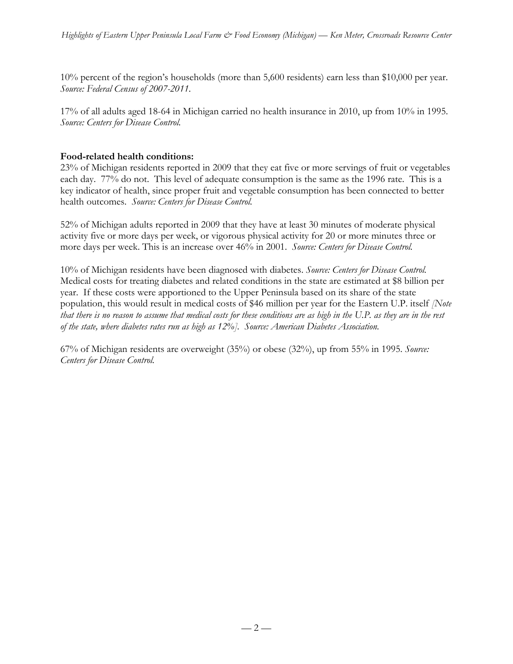10% percent of the region's households (more than 5,600 residents) earn less than \$10,000 per year. *Source: Federal Census of 2007-2011.*

17% of all adults aged 18-64 in Michigan carried no health insurance in 2010, up from 10% in 1995. *Source: Centers for Disease Control.*

## **Food-related health conditions:**

23% of Michigan residents reported in 2009 that they eat five or more servings of fruit or vegetables each day. 77% do not. This level of adequate consumption is the same as the 1996 rate. This is a key indicator of health, since proper fruit and vegetable consumption has been connected to better health outcomes. *Source: Centers for Disease Control.*

52% of Michigan adults reported in 2009 that they have at least 30 minutes of moderate physical activity five or more days per week, or vigorous physical activity for 20 or more minutes three or more days per week. This is an increase over 46% in 2001. *Source: Centers for Disease Control.*

10% of Michigan residents have been diagnosed with diabetes. *Source: Centers for Disease Control.* Medical costs for treating diabetes and related conditions in the state are estimated at \$8 billion per year. If these costs were apportioned to the Upper Peninsula based on its share of the state population, this would result in medical costs of \$46 million per year for the Eastern U.P. itself *[Note that there is no reason to assume that medical costs for these conditions are as high in the U.P. as they are in the rest of the state, where diabetes rates run as high as 12%]. Source: American Diabetes Association.*

67% of Michigan residents are overweight (35%) or obese (32%), up from 55% in 1995. *Source: Centers for Disease Control.*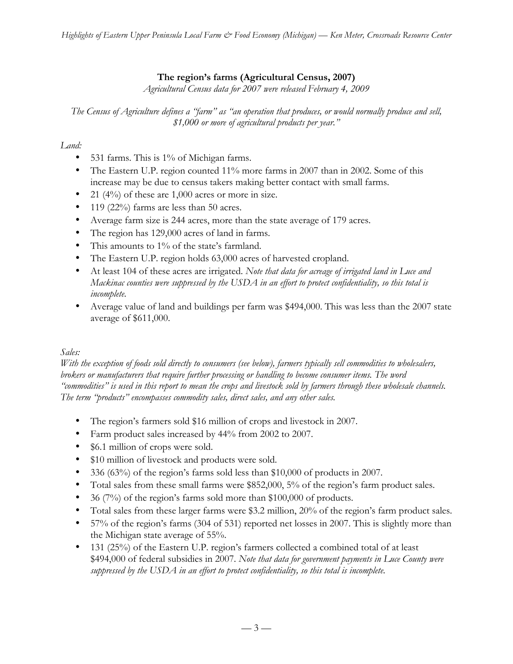# **The region's farms (Agricultural Census, 2007)**

*Agricultural Census data for 2007 were released February 4, 2009*

*The Census of Agriculture defines a "farm" as "an operation that produces, or would normally produce and sell, \$1,000 or more of agricultural products per year."*

## *Land:*

- 531 farms. This is 1% of Michigan farms.
- The Eastern U.P. region counted 11% more farms in 2007 than in 2002. Some of this increase may be due to census takers making better contact with small farms.
- 21 (4%) of these are 1,000 acres or more in size.
- 119 (22%) farms are less than 50 acres.
- Average farm size is 244 acres, more than the state average of 179 acres.
- The region has 129,000 acres of land in farms.
- This amounts to 1% of the state's farmland.
- The Eastern U.P. region holds 63,000 acres of harvested cropland.
- At least 104 of these acres are irrigated. *Note that data for acreage of irrigated land in Luce and Mackinac counties were suppressed by the USDA in an effort to protect confidentiality, so this total is incomplete.*
- Average value of land and buildings per farm was \$494,000. This was less than the 2007 state average of \$611,000.

## *Sales:*

*With the exception of foods sold directly to consumers (see below), farmers typically sell commodities to wholesalers, brokers or manufacturers that require further processing or handling to become consumer items. The word "commodities" is used in this report to mean the crops and livestock sold by farmers through these wholesale channels. The term "products" encompasses commodity sales, direct sales, and any other sales.* 

- The region's farmers sold \$16 million of crops and livestock in 2007.
- Farm product sales increased by 44% from 2002 to 2007.
- \$6.1 million of crops were sold.
- \$10 million of livestock and products were sold.
- 336 (63%) of the region's farms sold less than \$10,000 of products in 2007.
- Total sales from these small farms were \$852,000, 5% of the region's farm product sales.
- 36 (7%) of the region's farms sold more than \$100,000 of products.
- Total sales from these larger farms were \$3.2 million, 20% of the region's farm product sales.
- 57% of the region's farms (304 of 531) reported net losses in 2007. This is slightly more than the Michigan state average of 55%.
- 131 (25%) of the Eastern U.P. region's farmers collected a combined total of at least \$494,000 of federal subsidies in 2007. *Note that data for government payments in Luce County were suppressed by the USDA in an effort to protect confidentiality, so this total is incomplete.*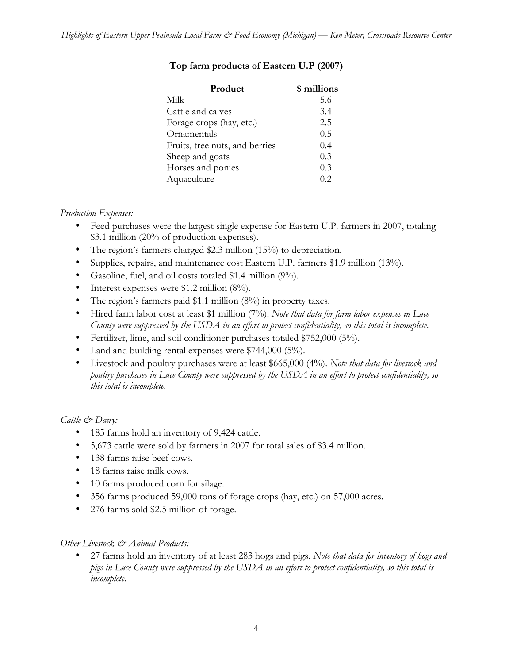## **Top farm products of Eastern U.P (2007)**

| Product                        | \$ millions |
|--------------------------------|-------------|
| Milk                           | 5.6         |
| Cattle and calves              | 3.4         |
| Forage crops (hay, etc.)       | 2.5         |
| Ornamentals                    | 0.5         |
| Fruits, tree nuts, and berries | 0.4         |
| Sheep and goats                | 0.3         |
| Horses and ponies              | 0.3         |
| Aquaculture                    | 0.2         |
|                                |             |

### *Production Expenses:*

- Feed purchases were the largest single expense for Eastern U.P. farmers in 2007, totaling \$3.1 million (20% of production expenses).
- The region's farmers charged \$2.3 million (15%) to depreciation.
- Supplies, repairs, and maintenance cost Eastern U.P. farmers \$1.9 million (13%).
- Gasoline, fuel, and oil costs totaled \$1.4 million (9%).
- Interest expenses were \$1.2 million (8%).
- The region's farmers paid \$1.1 million (8%) in property taxes.
- Hired farm labor cost at least \$1 million (7%). *Note that data for farm labor expenses in Luce County were suppressed by the USDA in an effort to protect confidentiality, so this total is incomplete.*
- Fertilizer, lime, and soil conditioner purchases totaled \$752,000 (5%).
- Land and building rental expenses were \$744,000 (5%).
- Livestock and poultry purchases were at least \$665,000 (4%). *Note that data for livestock and poultry purchases in Luce County were suppressed by the USDA in an effort to protect confidentiality, so this total is incomplete.*

## *Cattle & Dairy:*

- 185 farms hold an inventory of 9,424 cattle.
- 5,673 cattle were sold by farmers in 2007 for total sales of \$3.4 million.
- 138 farms raise beef cows.
- 18 farms raise milk cows.
- 10 farms produced corn for silage.
- 356 farms produced 59,000 tons of forage crops (hay, etc.) on 57,000 acres.
- 276 farms sold \$2.5 million of forage.

### *Other Livestock & Animal Products:*

• 27 farms hold an inventory of at least 283 hogs and pigs. *Note that data for inventory of hogs and pigs in Luce County were suppressed by the USDA in an effort to protect confidentiality, so this total is incomplete.*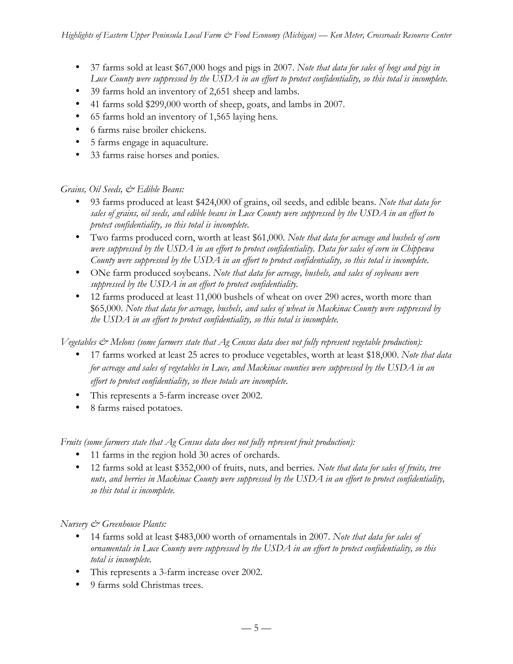- 37 farms sold at least \$67,000 hogs and pigs in 2007. *Note that data for sales of hogs and pigs in Luce County were suppressed by the USDA in an effort to protect confidentiality, so this total is incomplete.*
- 39 farms hold an inventory of 2,651 sheep and lambs.
- 41 farms sold \$299,000 worth of sheep, goats, and lambs in 2007.
- 65 farms hold an inventory of 1,565 laying hens*.*
- 6 farms raise broiler chickens.
- 5 farms engage in aquaculture.
- 33 farms raise horses and ponies.

## *Grains, Oil Seeds, & Edible Beans:*

- 93 farms produced at least \$424,000 of grains, oil seeds, and edible beans. *Note that data for sales of grains, oil seeds, and edible beans in Luce County were suppressed by the USDA in an effort to protect confidentiality, so this total is incomplete.*
- Two farms produced corn, worth at least \$61,000. *Note that data for acreage and bushels of corn were suppressed by the USDA in an effort to protect confidentiality. Data for sales of corn in Chippewa County were suppressed by the USDA in an effort to protect confidentiality, so this total is incomplete.*
- ONe farm produced soybeans. *Note that data for acreage, bushels, and sales of soybeans were suppressed by the USDA in an effort to protect confidentiality.*
- 12 farms produced at least 11,000 bushels of wheat on over 290 acres, worth more than \$65,000. *Note that data for acreage, bushels, and sales of wheat in Mackinac County were suppressed by the USDA in an effort to protect confidentiality, so this total is incomplete.*

*Vegetables & Melons (some farmers state that Ag Census data does not fully represent vegetable production):*

- 17 farms worked at least 25 acres to produce vegetables, worth at least \$18,000. *Note that data for acreage and sales of vegetables in Luce, and Mackinac counties were suppressed by the USDA in an effort to protect confidentiality, so these totals are incomplete.*
- This represents a 5-farm increase over 2002.
- 8 farms raised potatoes*.*

*Fruits (some farmers state that Ag Census data does not fully represent fruit production):*

- 11 farms in the region hold 30 acres of orchards.
- 12 farms sold at least \$352,000 of fruits, nuts, and berries*. Note that data for sales of fruits, tree nuts, and berries in Mackinac County were suppressed by the USDA in an effort to protect confidentiality, so this total is incomplete.*

*Nursery & Greenhouse Plants:*

- 14 farms sold at least \$483,000 worth of ornamentals in 2007. *Note that data for sales of ornamentals in Luce County were suppressed by the USDA in an effort to protect confidentiality, so this total is incomplete.*
- This represents a 3-farm increase over 2002.
- 9 farms sold Christmas trees.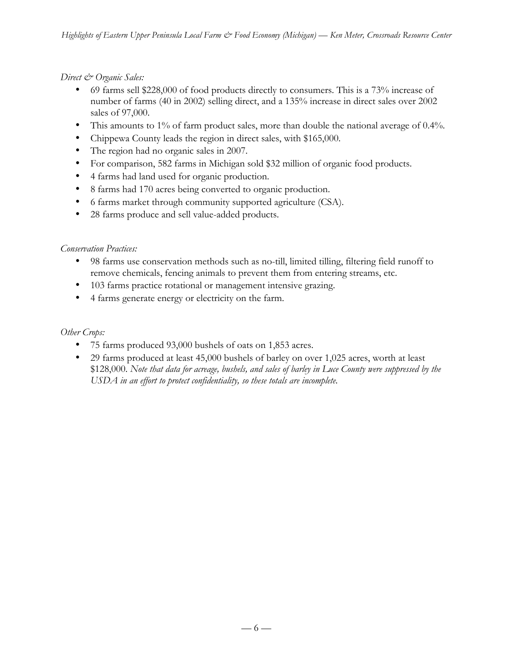*Direct & Organic Sales:*

- 69 farms sell \$228,000 of food products directly to consumers. This is a 73% increase of number of farms (40 in 2002) selling direct, and a 135% increase in direct sales over 2002 sales of 97,000.
- This amounts to 1% of farm product sales, more than double the national average of 0.4%.
- Chippewa County leads the region in direct sales, with \$165,000.
- The region had no organic sales in 2007.
- For comparison, 582 farms in Michigan sold \$32 million of organic food products.
- 4 farms had land used for organic production.
- 8 farms had 170 acres being converted to organic production.
- 6 farms market through community supported agriculture (CSA).
- 28 farms produce and sell value-added products.

## *Conservation Practices:*

- 98 farms use conservation methods such as no-till, limited tilling, filtering field runoff to remove chemicals, fencing animals to prevent them from entering streams, etc.
- 103 farms practice rotational or management intensive grazing.
- 4 farms generate energy or electricity on the farm.

## *Other Crops:*

- 75 farms produced 93,000 bushels of oats on 1,853 acres.
- 29 farms produced at least 45,000 bushels of barley on over 1,025 acres, worth at least \$128,000. *Note that data for acreage, bushels, and sales of barley in Luce County were suppressed by the USDA in an effort to protect confidentiality, so these totals are incomplete.*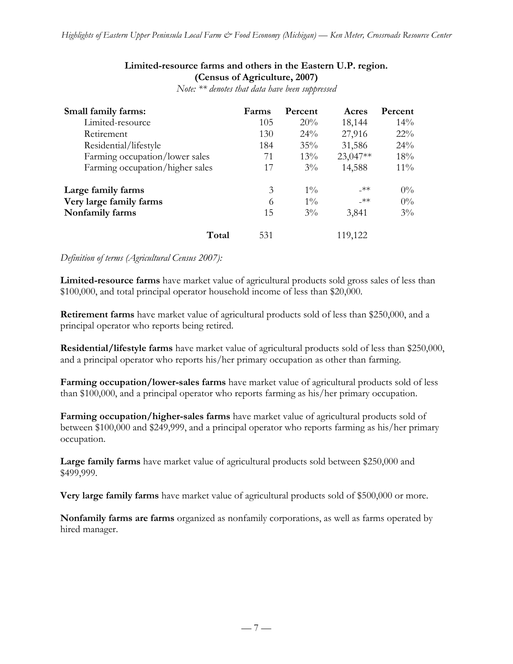## **Limited-resource farms and others in the Eastern U.P. region. (Census of Agriculture, 2007)**

|  |  |  |  |  |  | Note: ** denotes that data have been suppressed |  |
|--|--|--|--|--|--|-------------------------------------------------|--|
|--|--|--|--|--|--|-------------------------------------------------|--|

| Small family farms:             | Farms | Percent | Acres    | Percent |
|---------------------------------|-------|---------|----------|---------|
| Limited-resource                | 105   | 20%     | 18,144   | 14%     |
| Retirement                      | 130   | 24%     | 27,916   | $22\%$  |
| Residential/lifestyle           | 184   | 35%     | 31,586   | 24%     |
| Farming occupation/lower sales  | 71    | 13%     | 23,047** | 18%     |
| Farming occupation/higher sales | 17    | $3\%$   | 14,588   | $11\%$  |
| Large family farms              | 3     | $1\%$   | _**      | $0\%$   |
| Very large family farms         | 6     | $1\%$   | $\_**$   | $0\%$   |
| Nonfamily farms                 | 15    | $3\%$   | 3,841    | $3\%$   |
| Total                           | 531   |         | 119,122  |         |

#### *Definition of terms (Agricultural Census 2007):*

**Limited-resource farms** have market value of agricultural products sold gross sales of less than \$100,000, and total principal operator household income of less than \$20,000.

**Retirement farms** have market value of agricultural products sold of less than \$250,000, and a principal operator who reports being retired.

**Residential/lifestyle farms** have market value of agricultural products sold of less than \$250,000, and a principal operator who reports his/her primary occupation as other than farming.

**Farming occupation/lower-sales farms** have market value of agricultural products sold of less than \$100,000, and a principal operator who reports farming as his/her primary occupation.

**Farming occupation/higher-sales farms** have market value of agricultural products sold of between \$100,000 and \$249,999, and a principal operator who reports farming as his/her primary occupation.

**Large family farms** have market value of agricultural products sold between \$250,000 and \$499,999.

**Very large family farms** have market value of agricultural products sold of \$500,000 or more.

**Nonfamily farms are farms** organized as nonfamily corporations, as well as farms operated by hired manager.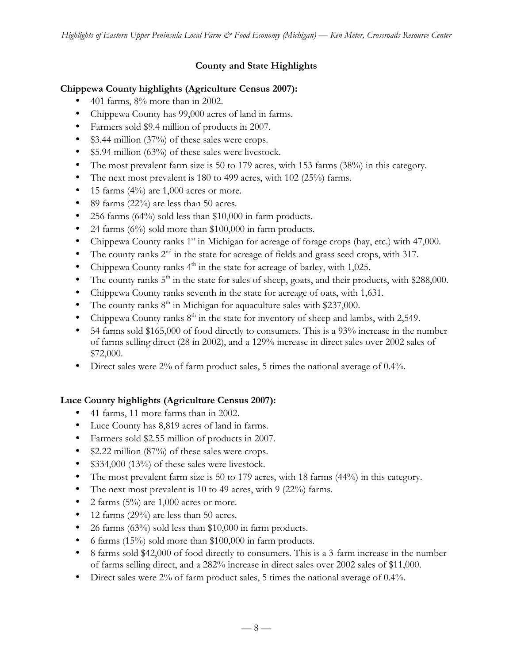# **County and State Highlights**

# **Chippewa County highlights (Agriculture Census 2007):**

- 401 farms, 8% more than in 2002.
- Chippewa County has 99,000 acres of land in farms.
- Farmers sold \$9.4 million of products in 2007.
- \$3.44 million (37%) of these sales were crops.
- \$5.94 million (63%) of these sales were livestock.
- The most prevalent farm size is 50 to 179 acres, with 153 farms (38%) in this category.
- The next most prevalent is 180 to 499 acres, with 102 (25%) farms.
- 15 farms  $(4\%)$  are 1,000 acres or more.
- 89 farms (22%) are less than 50 acres.
- 256 farms (64%) sold less than \$10,000 in farm products.
- 24 farms (6%) sold more than \$100,000 in farm products.
- Chippewa County ranks  $1<sup>st</sup>$  in Michigan for acreage of forage crops (hay, etc.) with 47,000.
- The county ranks  $2<sup>nd</sup>$  in the state for acreage of fields and grass seed crops, with 317.
- Chippewa County ranks  $4<sup>th</sup>$  in the state for acreage of barley, with 1,025.
- The county ranks  $5<sup>th</sup>$  in the state for sales of sheep, goats, and their products, with \$288,000.
- Chippewa County ranks seventh in the state for acreage of oats, with 1,631.
- The county ranks  $8<sup>th</sup>$  in Michigan for aquaculture sales with \$237,000.
- Chippewa County ranks  $8<sup>th</sup>$  in the state for inventory of sheep and lambs, with 2,549.
- 54 farms sold \$165,000 of food directly to consumers. This is a 93% increase in the number of farms selling direct (28 in 2002), and a 129% increase in direct sales over 2002 sales of \$72,000.
- Direct sales were 2% of farm product sales, 5 times the national average of 0.4%.

# **Luce County highlights (Agriculture Census 2007):**

- 41 farms, 11 more farms than in 2002.
- Luce County has 8,819 acres of land in farms.
- Farmers sold \$2.55 million of products in 2007.
- \$2.22 million (87%) of these sales were crops.
- \$334,000 (13%) of these sales were livestock.
- The most prevalent farm size is 50 to 179 acres, with 18 farms (44%) in this category.
- The next most prevalent is 10 to 49 acres, with 9 (22%) farms.
- 2 farms  $(5\%)$  are 1,000 acres or more.
- 12 farms (29%) are less than 50 acres.
- 26 farms (63%) sold less than \$10,000 in farm products.
- 6 farms (15%) sold more than \$100,000 in farm products.
- 8 farms sold \$42,000 of food directly to consumers. This is a 3-farm increase in the number of farms selling direct, and a 282% increase in direct sales over 2002 sales of \$11,000.
- Direct sales were 2% of farm product sales, 5 times the national average of 0.4%.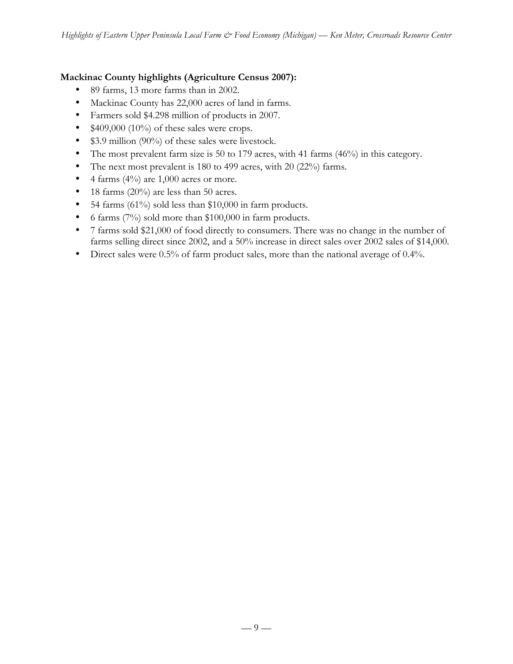## **Mackinac County highlights (Agriculture Census 2007):**

- 89 farms, 13 more farms than in 2002.
- Mackinac County has 22,000 acres of land in farms.
- Farmers sold \$4.298 million of products in 2007.
- $$409,000 (10\%)$  of these sales were crops.
- \$3.9 million (90%) of these sales were livestock.
- The most prevalent farm size is 50 to 179 acres, with 41 farms (46%) in this category.
- The next most prevalent is 180 to 499 acres, with 20 (22%) farms.
- 4 farms  $(4\%)$  are 1,000 acres or more.
- 18 farms  $(20\%)$  are less than 50 acres.
- 54 farms (61%) sold less than \$10,000 in farm products.
- 6 farms (7%) sold more than \$100,000 in farm products.
- 7 farms sold \$21,000 of food directly to consumers. There was no change in the number of farms selling direct since 2002, and a 50% increase in direct sales over 2002 sales of \$14,000.
- Direct sales were 0.5% of farm product sales, more than the national average of 0.4%.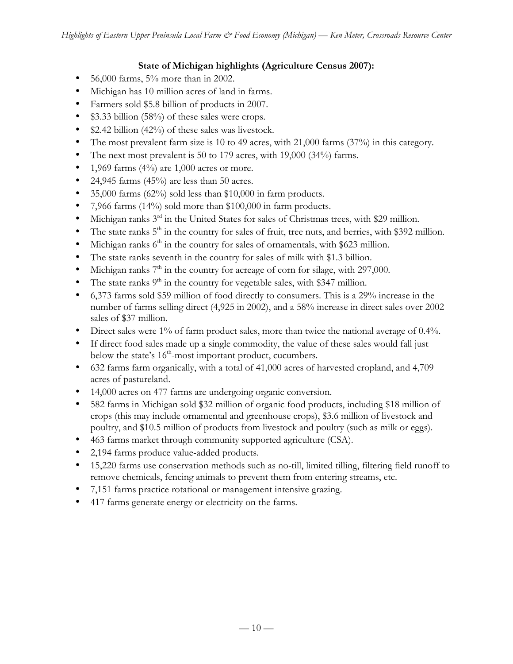# **State of Michigan highlights (Agriculture Census 2007):**

- $56,000$  farms,  $5\%$  more than in 2002.
- Michigan has 10 million acres of land in farms.
- Farmers sold \$5.8 billion of products in 2007.
- \$3.33 billion (58%) of these sales were crops.
- \$2.42 billion (42%) of these sales was livestock.
- The most prevalent farm size is 10 to 49 acres, with 21,000 farms (37%) in this category.
- The next most prevalent is 50 to 179 acres, with 19,000 (34%) farms.
- 1,969 farms  $(4\%)$  are 1,000 acres or more.
- 24,945 farms  $(45\%)$  are less than 50 acres.
- 35,000 farms (62%) sold less than \$10,000 in farm products.
- 7,966 farms (14%) sold more than \$100,000 in farm products.
- Michigan ranks  $3^{rd}$  in the United States for sales of Christmas trees, with \$29 million.
- The state ranks  $5<sup>th</sup>$  in the country for sales of fruit, tree nuts, and berries, with \$392 million.
- Michigan ranks  $6<sup>th</sup>$  in the country for sales of ornamentals, with \$623 million.
- The state ranks seventh in the country for sales of milk with \$1.3 billion.
- Michigan ranks  $7<sup>th</sup>$  in the country for acreage of corn for silage, with 297,000.
- The state ranks  $9<sup>th</sup>$  in the country for vegetable sales, with \$347 million.
- 6,373 farms sold \$59 million of food directly to consumers. This is a 29% increase in the number of farms selling direct (4,925 in 2002), and a 58% increase in direct sales over 2002 sales of \$37 million.
- Direct sales were 1% of farm product sales, more than twice the national average of 0.4%.
- If direct food sales made up a single commodity, the value of these sales would fall just below the state's  $16<sup>th</sup>$ -most important product, cucumbers.
- 632 farms farm organically, with a total of 41,000 acres of harvested cropland, and 4,709 acres of pastureland.
- 14,000 acres on 477 farms are undergoing organic conversion.
- 582 farms in Michigan sold \$32 million of organic food products, including \$18 million of crops (this may include ornamental and greenhouse crops), \$3.6 million of livestock and poultry, and \$10.5 million of products from livestock and poultry (such as milk or eggs).
- 463 farms market through community supported agriculture (CSA).
- 2,194 farms produce value-added products.
- 15,220 farms use conservation methods such as no-till, limited tilling, filtering field runoff to remove chemicals, fencing animals to prevent them from entering streams, etc.
- 7,151 farms practice rotational or management intensive grazing.
- 417 farms generate energy or electricity on the farms.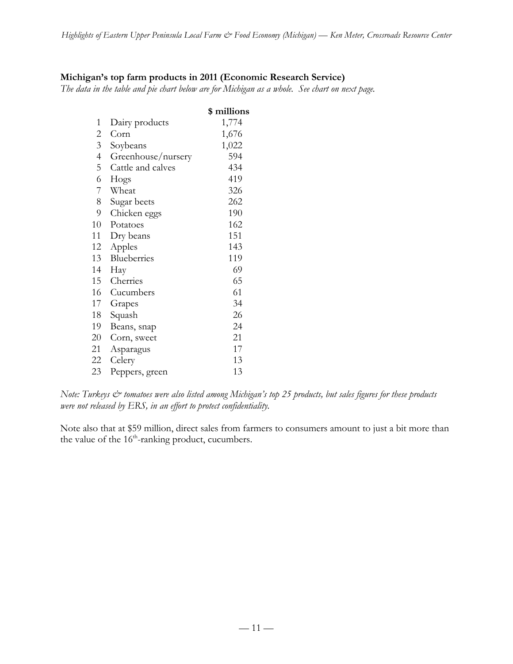## **Michigan's top farm products in 2011 (Economic Research Service)**

*The data in the table and pie chart below are for Michigan as a whole. See chart on next page.*

|                |                    | \$ millions |
|----------------|--------------------|-------------|
| 1              | Dairy products     | 1,774       |
| 2              | Corn               | 1,676       |
| $\overline{3}$ | Soybeans           | 1,022       |
| $\overline{4}$ | Greenhouse/nursery | 594         |
| 5              | Cattle and calves  | 434         |
| 6              | Hogs               | 419         |
| 7              | Wheat              | 326         |
| 8              | Sugar beets        | 262         |
| 9              | Chicken eggs       | 190         |
| 10             | Potatoes           | 162         |
| 11             | Dry beans          | 151         |
| 12             | Apples             | 143         |
| 13             | Blueberries        | 119         |
| 14             | Hay                | 69          |
| 15             | Cherries           | 65          |
| 16             | Cucumbers          | 61          |
| 17             | Grapes             | 34          |
| 18             | Squash             | 26          |
| 19             | Beans, snap        | 24          |
| 20             | Corn, sweet        | 21          |
| 21             | Asparagus          | 17          |
| 22             | Celery             | 13          |
| 23             | Peppers, green     | 13          |

*Note: Turkeys*  $\breve{c}$  *tomatoes were also listed among Michigan's top 25 products, but sales figures for these products were not released by ERS, in an effort to protect confidentiality.*

Note also that at \$59 million, direct sales from farmers to consumers amount to just a bit more than the value of the  $16<sup>th</sup>$ -ranking product, cucumbers.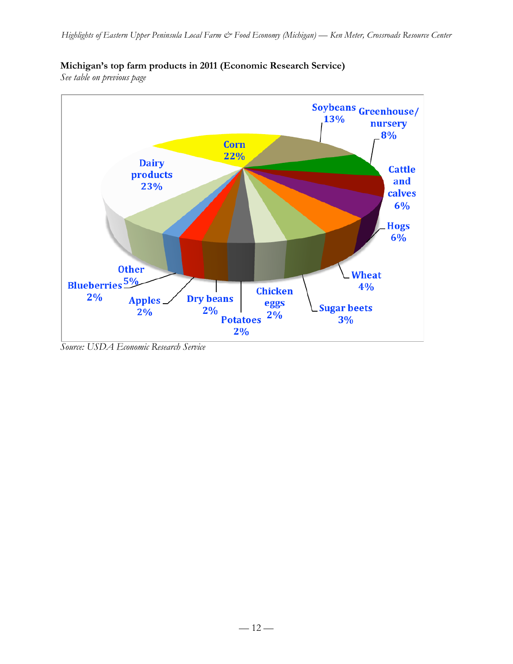

## **Michigan's top farm products in 2011 (Economic Research Service)**

*See table on previous page*

*Source: USDA Economic Research Service*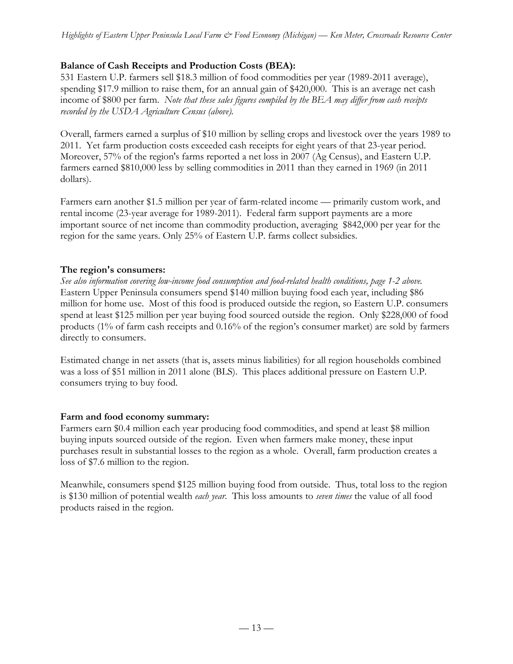## **Balance of Cash Receipts and Production Costs (BEA):**

531 Eastern U.P. farmers sell \$18.3 million of food commodities per year (1989-2011 average), spending \$17.9 million to raise them, for an annual gain of \$420,000. This is an average net cash income of \$800 per farm. *Note that these sales figures compiled by the BEA may differ from cash receipts recorded by the USDA Agriculture Census (above).*

Overall, farmers earned a surplus of \$10 million by selling crops and livestock over the years 1989 to 2011. Yet farm production costs exceeded cash receipts for eight years of that 23-year period. Moreover, 57% of the region's farms reported a net loss in 2007 (Ag Census), and Eastern U.P. farmers earned \$810,000 less by selling commodities in 2011 than they earned in 1969 (in 2011 dollars).

Farmers earn another \$1.5 million per year of farm-related income — primarily custom work, and rental income (23-year average for 1989-2011). Federal farm support payments are a more important source of net income than commodity production, averaging \$842,000 per year for the region for the same years. Only 25% of Eastern U.P. farms collect subsidies.

## **The region's consumers:**

*See also information covering low-income food consumption and food-related health conditions, page 1-2 above.* Eastern Upper Peninsula consumers spend \$140 million buying food each year, including \$86 million for home use. Most of this food is produced outside the region, so Eastern U.P. consumers spend at least \$125 million per year buying food sourced outside the region. Only \$228,000 of food products (1% of farm cash receipts and 0.16% of the region's consumer market) are sold by farmers directly to consumers.

Estimated change in net assets (that is, assets minus liabilities) for all region households combined was a loss of \$51 million in 2011 alone (BLS). This places additional pressure on Eastern U.P. consumers trying to buy food.

### **Farm and food economy summary:**

Farmers earn \$0.4 million each year producing food commodities, and spend at least \$8 million buying inputs sourced outside of the region. Even when farmers make money, these input purchases result in substantial losses to the region as a whole. Overall, farm production creates a loss of \$7.6 million to the region.

Meanwhile, consumers spend \$125 million buying food from outside. Thus, total loss to the region is \$130 million of potential wealth *each year*. This loss amounts to *seven times* the value of all food products raised in the region.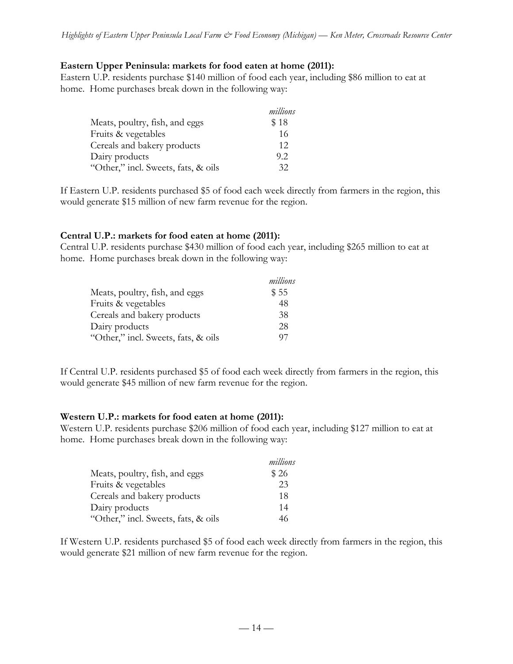## **Eastern Upper Peninsula: markets for food eaten at home (2011):**

Eastern U.P. residents purchase \$140 million of food each year, including \$86 million to eat at home. Home purchases break down in the following way:

|                                     | millions |
|-------------------------------------|----------|
| Meats, poultry, fish, and eggs      | \$18     |
| Fruits & vegetables                 | 16       |
| Cereals and bakery products         | 12       |
| Dairy products                      | 9.2      |
| "Other," incl. Sweets, fats, & oils | 32       |

If Eastern U.P. residents purchased \$5 of food each week directly from farmers in the region, this would generate \$15 million of new farm revenue for the region.

## **Central U.P.: markets for food eaten at home (2011):**

Central U.P. residents purchase \$430 million of food each year, including \$265 million to eat at home. Home purchases break down in the following way:

|                                     | millions |
|-------------------------------------|----------|
| Meats, poultry, fish, and eggs      | \$55     |
| Fruits & vegetables                 | 48       |
| Cereals and bakery products         | 38       |
| Dairy products                      | 28       |
| "Other," incl. Sweets, fats, & oils | 97       |

If Central U.P. residents purchased \$5 of food each week directly from farmers in the region, this would generate \$45 million of new farm revenue for the region.

### **Western U.P.: markets for food eaten at home (2011):**

Western U.P. residents purchase \$206 million of food each year, including \$127 million to eat at home. Home purchases break down in the following way:

|                                     | millions |
|-------------------------------------|----------|
| Meats, poultry, fish, and eggs      | \$26     |
| Fruits & vegetables                 | 23       |
| Cereals and bakery products         | 18       |
| Dairy products                      | 14       |
| "Other," incl. Sweets, fats, & oils | 46       |

If Western U.P. residents purchased \$5 of food each week directly from farmers in the region, this would generate \$21 million of new farm revenue for the region.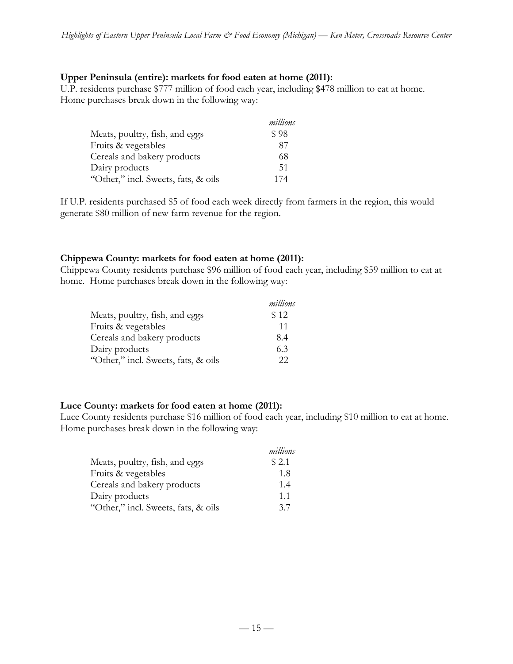#### **Upper Peninsula (entire): markets for food eaten at home (2011):**

U.P. residents purchase \$777 million of food each year, including \$478 million to eat at home. Home purchases break down in the following way:

|                                     | millions |
|-------------------------------------|----------|
| Meats, poultry, fish, and eggs      | \$98     |
| Fruits & vegetables                 | 87       |
| Cereals and bakery products         | 68       |
| Dairy products                      | -51      |
| "Other," incl. Sweets, fats, & oils | 174      |

If U.P. residents purchased \$5 of food each week directly from farmers in the region, this would generate \$80 million of new farm revenue for the region.

#### **Chippewa County: markets for food eaten at home (2011):**

Chippewa County residents purchase \$96 million of food each year, including \$59 million to eat at home. Home purchases break down in the following way:

|                                     | millions |
|-------------------------------------|----------|
| Meats, poultry, fish, and eggs      | \$12     |
| Fruits & vegetables                 | 11       |
| Cereals and bakery products         | 8.4      |
| Dairy products                      | 6.3      |
| "Other," incl. Sweets, fats, & oils | 22       |

### **Luce County: markets for food eaten at home (2011):**

Luce County residents purchase \$16 million of food each year, including \$10 million to eat at home. Home purchases break down in the following way:

|                                     | millions |
|-------------------------------------|----------|
| Meats, poultry, fish, and eggs      | \$2.1    |
| Fruits & vegetables                 | 1.8      |
| Cereals and bakery products         | 1.4      |
| Dairy products                      | 1.1      |
| "Other," incl. Sweets, fats, & oils | 37       |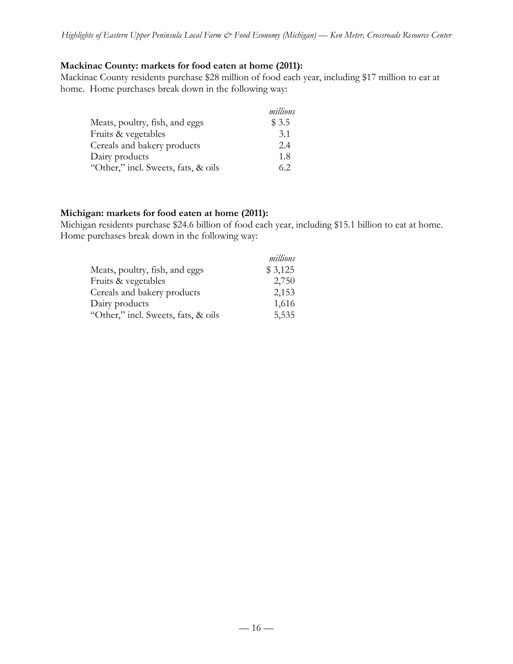### **Mackinac County: markets for food eaten at home (2011):**

Mackinac County residents purchase \$28 million of food each year, including \$17 million to eat at home. Home purchases break down in the following way:

|                                     | millions |
|-------------------------------------|----------|
| Meats, poultry, fish, and eggs      | \$ 3.5   |
| Fruits & vegetables                 | 3.1      |
| Cereals and bakery products         | 2.4      |
| Dairy products                      | 1.8      |
| "Other," incl. Sweets, fats, & oils | 6.2      |

### **Michigan: markets for food eaten at home (2011):**

Michigan residents purchase \$24.6 billion of food each year, including \$15.1 billion to eat at home. Home purchases break down in the following way:

|                                     | millions |
|-------------------------------------|----------|
| Meats, poultry, fish, and eggs      | \$3,125  |
| Fruits & vegetables                 | 2,750    |
| Cereals and bakery products         | 2,153    |
| Dairy products                      | 1,616    |
| "Other," incl. Sweets, fats, & oils | 5,535    |